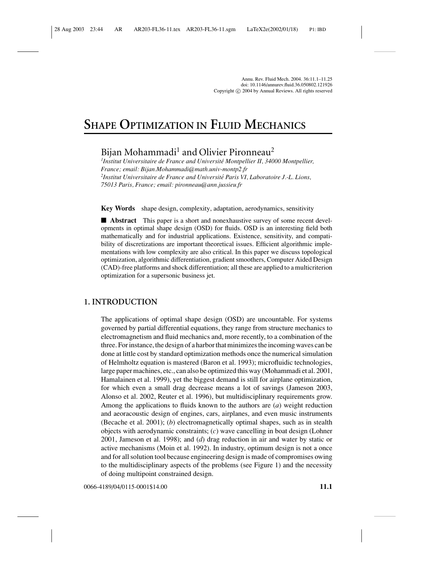Annu. Rev. Fluid Mech. 2004. 36:11.1–11.25 doi: 10.1146/annurev.fluid.36.050802.121926 Copyright  $\odot$  2004 by Annual Reviews. All rights reserved

# **SHAPE OPTIMIZATION IN FLUID MECHANICS**

Bijan Mohammadi<sup>1</sup> and Olivier Pironneau<sup>2</sup>

*1 Institut Universitaire de France and Universite Montpellier II, 34000 Montpellier, ´ France; email: Bijan.Mohammadi@math.univ-montp2.fr 2 Institut Universitaire de France and Universite Paris VI, Laboratoire J.-L. Lions, ´ 75013 Paris, France; email: pironneau@ann.jussieu.fr*

**Key Words** shape design, complexity, adaptation, aerodynamics, sensitivity

■ **Abstract** This paper is a short and nonexhaustive survey of some recent developments in optimal shape design (OSD) for fluids. OSD is an interesting field both mathematically and for industrial applications. Existence, sensitivity, and compatibility of discretizations are important theoretical issues. Efficient algorithmic implementations with low complexity are also critical. In this paper we discuss topological optimization, algorithmic differentiation, gradient smoothers, Computer Aided Design (CAD)-free platforms and shock differentiation; all these are applied to a multicriterion optimization for a supersonic business jet.

# **1. INTRODUCTION**

The applications of optimal shape design (OSD) are uncountable. For systems governed by partial differential equations, they range from structure mechanics to electromagnetism and fluid mechanics and, more recently, to a combination of the three. For instance, the design of a harbor that minimizes the incoming waves can be done at little cost by standard optimization methods once the numerical simulation of Helmholtz equation is mastered (Baron et al. 1993); microfluidic technologies, large paper machines, etc., can also be optimized this way (Mohammadi et al. 2001, Hamalainen et al. 1999), yet the biggest demand is still for airplane optimization, for which even a small drag decrease means a lot of savings (Jameson 2003, Alonso et al. 2002, Reuter et al. 1996), but multidisciplinary requirements grow. Among the applications to fluids known to the authors are (*a*) weight reduction and aeoracoustic design of engines, cars, airplanes, and even music instruments (Becache et al. 2001); (*b*) electromagnetically optimal shapes, such as in stealth objects with aerodynamic constraints; (*c*) wave cancelling in boat design (Lohner 2001, Jameson et al. 1998); and (*d*) drag reduction in air and water by static or active mechanisms (Moin et al. 1992). In industry, optimum design is not a once and for all solution tool because engineering design is made of compromises owing to the multidisciplinary aspects of the problems (see Figure 1) and the necessity of doing multipoint constrained design.

0066-4189/04/0115-0001\$14.00 **11.1**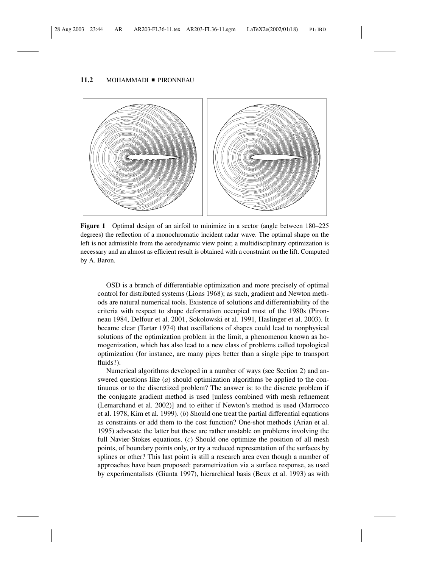## 11.2 MOHAMMADI PIRONNEAU



**Figure 1** Optimal design of an airfoil to minimize in a sector (angle between  $180-225$ degrees) the reflection of a monochromatic incident radar wave. The optimal shape on the left is not admissible from the aerodynamic view point; a multidisciplinary optimization is necessary and an almost as efficient result is obtained with a constraint on the lift. Computed by A. Baron.

OSD is a branch of differentiable optimization and more precisely of optimal control for distributed systems (Lions 1968); as such, gradient and Newton methods are natural numerical tools. Existence of solutions and differentiability of the criteria with respect to shape deformation occupied most of the 1980s (Pironneau 1984, Delfour et al. 2001, Sokolowski et al. 1991, Haslinger et al. 2003). It became clear (Tartar 1974) that oscillations of shapes could lead to nonphysical solutions of the optimization problem in the limit, a phenomenon known as homogenization, which has also lead to a new class of problems called topological optimization (for instance, are many pipes better than a single pipe to transport fluids?).

Numerical algorithms developed in a number of ways (see Section 2) and answered questions like (*a*) should optimization algorithms be applied to the continuous or to the discretized problem? The answer is: to the discrete problem if the conjugate gradient method is used [unless combined with mesh refinement (Lemarchand et al. 2002)] and to either if Newton's method is used (Marrocco et al. 1978, Kim et al. 1999). (*b*) Should one treat the partial differential equations as constraints or add them to the cost function? One-shot methods (Arian et al. 1995) advocate the latter but these are rather unstable on problems involving the full Navier-Stokes equations. (*c*) Should one optimize the position of all mesh points, of boundary points only, or try a reduced representation of the surfaces by splines or other? This last point is still a research area even though a number of approaches have been proposed: parametrization via a surface response, as used by experimentalists (Giunta 1997), hierarchical basis (Beux et al. 1993) as with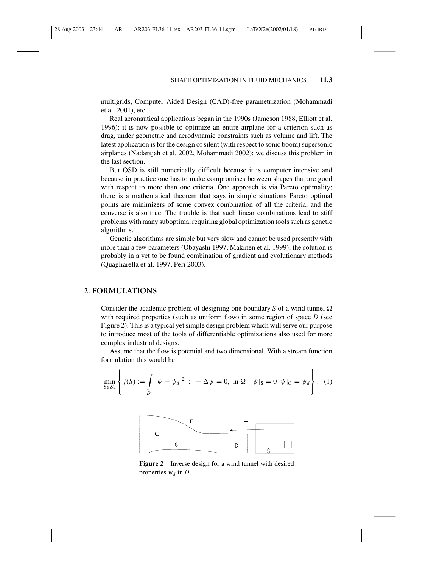multigrids, Computer Aided Design (CAD)-free parametrization (Mohammadi et al. 2001), etc.

Real aeronautical applications began in the 1990s (Jameson 1988, Elliott et al. 1996); it is now possible to optimize an entire airplane for a criterion such as drag, under geometric and aerodynamic constraints such as volume and lift. The latest application is for the design of silent (with respect to sonic boom) supersonic airplanes (Nadarajah et al. 2002, Mohammadi 2002); we discuss this problem in the last section.

But OSD is still numerically difficult because it is computer intensive and because in practice one has to make compromises between shapes that are good with respect to more than one criteria. One approach is via Pareto optimality; there is a mathematical theorem that says in simple situations Pareto optimal points are minimizers of some convex combination of all the criteria, and the converse is also true. The trouble is that such linear combinations lead to stiff problems with many suboptima, requiring global optimization tools such as genetic algorithms.

Genetic algorithms are simple but very slow and cannot be used presently with more than a few parameters (Obayashi 1997, Makinen et al. 1999); the solution is probably in a yet to be found combination of gradient and evolutionary methods (Quagliarella et al. 1997, Peri 2003).

# **2. FORMULATIONS**

Consider the academic problem of designing one boundary  $S$  of a wind tunnel  $\Omega$ with required properties (such as uniform flow) in some region of space *D* (see Figure 2). This is a typical yet simple design problem which will serve our purpose to introduce most of the tools of differentiable optimizations also used for more complex industrial designs.

Assume that the flow is potential and two dimensional. With a stream function formulation this would be

$$
\min_{\mathbf{S}\in\mathcal{S}_d} \left\{ j(S) := \int_D |\psi - \psi_d|^2 \; : \; -\Delta\psi = 0, \text{ in } \Omega \quad \psi|_{\mathbf{S}} = 0 \ \psi|_{C} = \psi_d \right\}, \tag{1}
$$



**Figure 2** Inverse design for a wind tunnel with desired properties  $\psi_d$  in *D*.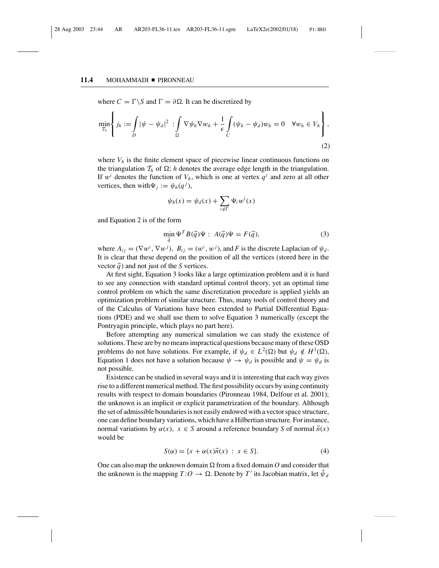### 11.4 MOHAMMADI PIRONNEAU

where  $C = \Gamma \backslash S$  and  $\Gamma = \partial \Omega$ . It can be discretized by

$$
\min_{\mathcal{T}_h} \left\{ j_h := \int_D |\psi - \psi_d|^2 \, : \int_{\Omega} \nabla \psi_h \nabla w_h + \frac{1}{\epsilon} \int_C (\psi_h - \psi_d) w_h = 0 \quad \forall w_h \in V_h \right\},\tag{2}
$$

where  $V_h$  is the finite element space of piecewise linear continuous functions on the triangulation  $\mathcal{T}_h$  of  $\Omega$ ; *h* denotes the average edge length in the triangulation. If  $w<sup>i</sup>$  denotes the function of  $V<sub>h</sub>$ , which is one at vertex  $q<sup>i</sup>$  and zero at all other vertices, then with  $\Psi_j := \psi_h(q^j)$ ,

$$
\psi_h(x) = \psi_d(x) + \sum_{i \notin \Gamma} \Psi_i w^i(x)
$$

and Equation 2 is of the form

$$
\min_{\vec{q}} \Psi^T B(\vec{q}) \Psi : A(\vec{q}) \Psi = F(\vec{q}), \tag{3}
$$

where  $A_{ij} = (\nabla w^i, \nabla w^j)$ ,  $B_{ij} = (w^i, w^j)$ , and *F* is the discrete Laplacian of  $\psi_d$ . It is clear that these depend on the position of all the vertices (stored here in the vector  $\vec{q}$ ) and not just of the *S* vertices.

At first sight, Equation 3 looks like a large optimization problem and it is hard to see any connection with standard optimal control theory, yet an optimal time control problem on which the same discretization procedure is applied yields an optimization problem of similar structure. Thus, many tools of control theory and of the Calculus of Variations have been extended to Partial Differential Equations (PDE) and we shall use them to solve Equation 3 numerically (except the Pontryagin principle, which plays no part here).

Before attempting any numerical simulation we can study the existence of solutions. These are by no means impractical questions because many of these OSD problems do not have solutions. For example, if  $\psi_d \in L^2(\Omega)$  but  $\psi_d \notin H^1(\Omega)$ , Equation 1 does not have a solution because  $\psi \to \psi_d$  is possible and  $\psi = \psi_d$  is not possible.

Existence can be studied in several ways and it is interesting that each way gives rise to a different numerical method. The first possibility occurs by using continuity results with respect to domain boundaries (Pironneau 1984, Delfour et al. 2001); the unknown is an implicit or explicit parametrization of the boundary. Although the set of admissible boundaries is not easily endowed with a vector space structure, one can define boundary variations, which have a Hilbertian structure. For instance, normal variations by  $\alpha(x)$ ,  $x \in S$  around a reference boundary *S* of normal  $\vec{n}(x)$ would be

$$
S(\alpha) = \{x + \alpha(x)\vec{n}(x) : x \in S\}.
$$
 (4)

One can also map the unknown domain  $\Omega$  from a fixed domain  $O$  and consider that the unknown is the mapping  $T: O \to \Omega$ . Denote by  $T'$  its Jacobian matrix, let  $\hat{\psi}_d$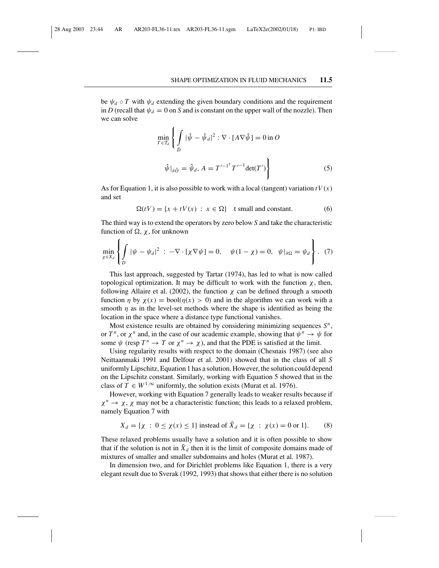be  $\psi_d \circ T$  with  $\psi_d$  extending the given boundary conditions and the requirement in *D* (recall that  $\psi_d = 0$  on *S* and is constant on the upper wall of the nozzle). Then we can solve

$$
\min_{T \in \mathcal{T}_d} \left\{ \int_{\hat{D}} |\hat{\psi} - \hat{\psi}_d|^2 : \nabla \cdot [A \nabla \hat{\psi}] = 0 \text{ in } O \right\}
$$
\n
$$
\hat{\psi}|_{\partial \hat{O}} = \hat{\psi}_d, A = T'^{-1^T} T'^{-1} \det(T') \right\}
$$
\n(5)

As for Equation 1, it is also possible to work with a local (tangent) variation  $tV(x)$ and set

$$
\Omega(tV) = \{x + tV(x) : x \in \Omega\} \quad \text{t small and constant.} \tag{6}
$$

The third way is to extend the operators by zero below *S* and take the characteristic function of  $\Omega$ ,  $\chi$ , for unknown

$$
\min_{\chi \in X_d} \left\{ \int_D |\psi - \psi_d|^2 \; : \; -\nabla \cdot [\chi \nabla \psi] = 0, \quad \psi(1 - \chi) = 0, \; \psi|_{\partial \Omega} = \psi_d \right\}. \tag{7}
$$

This last approach, suggested by Tartar (1974), has led to what is now called topological optimization. It may be difficult to work with the function χ, then, following Allaire et al. (2002), the function  $\chi$  can be defined through a smooth function  $\eta$  by  $\chi(x) = \text{bool}(\eta(x) > 0)$  and in the algorithm we can work with a smooth  $\eta$  as in the level-set methods where the shape is identified as being the location in the space where a distance type functional vanishes.

Most existence results are obtained by considering minimizing sequences *S<sup>n</sup>*, or  $T^n$ , or  $\chi^n$  and, in the case of our academic example, showing that  $\psi^n \to \psi$  for some  $\psi$  (resp  $T^n \to T$  or  $\chi^n \to \chi$ ), and that the PDE is satisfied at the limit.

Using regularity results with respect to the domain (Chesnais 1987) (see also Neittaanmaki 1991 and Delfour et al. 2001) showed that in the class of all *S* uniformly Lipschitz, Equation 1 has a solution. However, the solution could depend on the Lipschitz constant. Similarly, working with Equation 5 showed that in the class of  $T \in W^{1,\infty}$  uniformly, the solution exists (Murat et al. 1976).

However, working with Equation 7 generally leads to weaker results because if  $\chi^n \to \chi$ ,  $\chi$  may not be a characteristic function; this leads to a relaxed problem, namely Equation 7 with

$$
X_d = \{ \chi : 0 \le \chi(x) \le 1 \}
$$
 instead of  $\tilde{X}_d = \{ \chi : \chi(x) = 0 \text{ or } 1 \}.$  (8)

These relaxed problems usually have a solution and it is often possible to show that if the solution is not in  $\ddot{X}_d$  then it is the limit of composite domains made of mixtures of smaller and smaller subdomains and holes (Murat et al. 1987).

In dimension two, and for Dirichlet problems like Equation 1, there is a very elegant result due to Sverak (1992, 1993) that shows that either there is no solution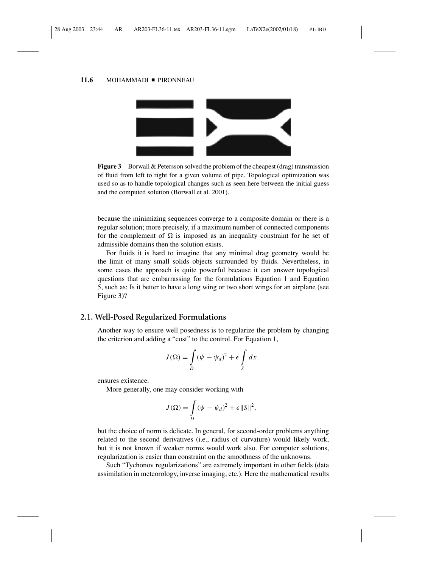### 11.6 MOHAMMADI PIRONNEAU



**Figure 3** Borwall & Petersson solved the problem of the cheapest (drag) transmission of fluid from left to right for a given volume of pipe. Topological optimization was used so as to handle topological changes such as seen here between the initial guess and the computed solution (Borwall et al. 2001).

because the minimizing sequences converge to a composite domain or there is a regular solution; more precisely, if a maximum number of connected components for the complement of  $\Omega$  is imposed as an inequality constraint for he set of admissible domains then the solution exists.

For fluids it is hard to imagine that any minimal drag geometry would be the limit of many small solids objects surrounded by fluids. Nevertheless, in some cases the approach is quite powerful because it can answer topological questions that are embarrassing for the formulations Equation 1 and Equation 5, such as: Is it better to have a long wing or two short wings for an airplane (see Figure 3)?

# **2.1. Well-Posed Regularized Formulations**

Another way to ensure well posedness is to regularize the problem by changing the criterion and adding a "cost" to the control. For Equation 1,

$$
J(\Omega) = \int_{D} (\psi - \psi_d)^2 + \epsilon \int_{S} dx
$$

ensures existence.

More generally, one may consider working with

$$
J(\Omega) = \int_D (\psi - \psi_d)^2 + \epsilon ||S||^2,
$$

but the choice of norm is delicate. In general, for second-order problems anything related to the second derivatives (i.e., radius of curvature) would likely work, but it is not known if weaker norms would work also. For computer solutions, regularization is easier than constraint on the smoothness of the unknowns.

Such "Tychonov regularizations" are extremely important in other fields (data assimilation in meteorology, inverse imaging, etc.). Here the mathematical results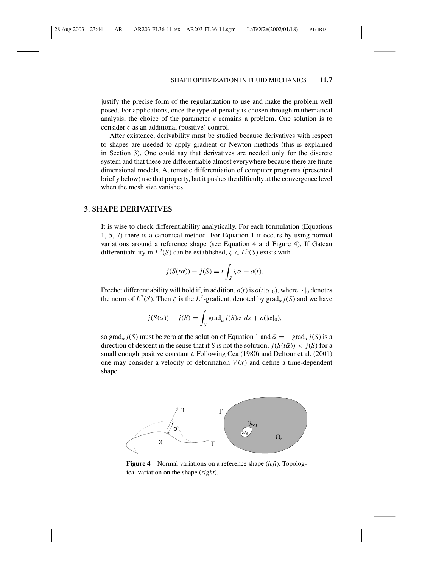justify the precise form of the regularization to use and make the problem well posed. For applications, once the type of penalty is chosen through mathematical analysis, the choice of the parameter  $\epsilon$  remains a problem. One solution is to consider  $\epsilon$  as an additional (positive) control.

After existence, derivability must be studied because derivatives with respect to shapes are needed to apply gradient or Newton methods (this is explained in Section 3). One could say that derivatives are needed only for the discrete system and that these are differentiable almost everywhere because there are finite dimensional models. Automatic differentiation of computer programs (presented briefly below) use that property, but it pushes the difficulty at the convergence level when the mesh size vanishes.

# **3. SHAPE DERIVATIVES**

It is wise to check differentiability analytically. For each formulation (Equations 1, 5, 7) there is a canonical method. For Equation 1 it occurs by using normal variations around a reference shape (see Equation 4 and Figure 4). If Gateau differentiability in  $L^2(S)$  can be established,  $\zeta \in L^2(S)$  exists with

$$
j(S(t\alpha)) - j(S) = t \int_{S} \zeta \alpha + o(t).
$$

Frechet differentiability will hold if, in addition,  $o(t)$  is  $o(t|\alpha|_0)$ , where  $|\cdot|_0$  denotes the norm of  $L^2(S)$ . Then  $\zeta$  is the  $L^2$ -gradient, denoted by grad<sub> $\alpha$ </sub> *j*(*S*) and we have

$$
j(S(\alpha)) - j(S) = \int_S \text{grad}_{\alpha} j(S) \alpha \ ds + o(|\alpha|_0),
$$

so grad<sub>α</sub> *j*(*S*) must be zero at the solution of Equation 1 and  $\bar{\alpha} = -\text{grad}_{\alpha} i(S)$  is a direction of descent in the sense that if *S* is not the solution,  $j(S(t\overline{\alpha})) < j(S)$  for a small enough positive constant *t*. Following Cea (1980) and Delfour et al. (2001) one may consider a velocity of deformation  $V(x)$  and define a time-dependent shape



**Figure 4** Normal variations on a reference shape (*left*). Topological variation on the shape (*right*).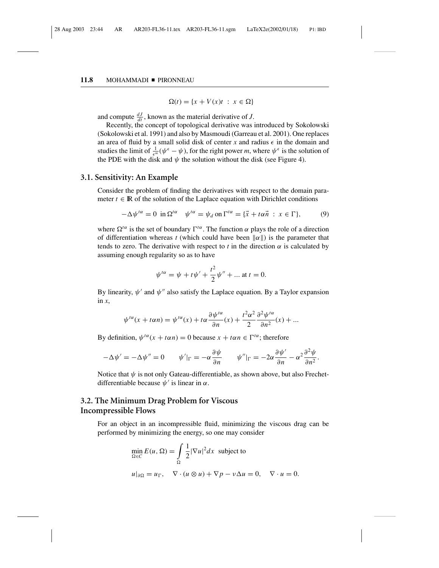#### 11.8 MOHAMMADI PIRONNEAU

 $\Omega(t) = \{x + V(x)t : x \in \Omega\}$ 

and compute  $\frac{dJ}{dt}$ , known as the material derivative of *J*.

Recently, the concept of topological derivative was introduced by Sokolowski (Sokolowski et al. 1991) and also by Masmoudi (Garreau et al. 2001). One replaces an area of fluid by a small solid disk of center *x* and radius  $\epsilon$  in the domain and studies the limit of  $\frac{1}{\epsilon^m}(\psi^\epsilon - \psi)$ , for the right power *m*, where  $\psi^\epsilon$  is the solution of the PDE with the disk and  $\psi$  the solution without the disk (see Figure 4).

# **3.1. Sensitivity: An Example**

Consider the problem of finding the derivatives with respect to the domain parameter  $t \in \mathbb{R}$  of the solution of the Laplace equation with Dirichlet conditions

$$
-\Delta \psi^{t\alpha} = 0 \text{ in } \Omega^{t\alpha} \quad \psi^{t\alpha} = \psi_d \text{ on } \Gamma^{t\alpha} = \{\vec{x} + t\alpha \vec{n} : x \in \Gamma\},\tag{9}
$$

where  $\Omega^{t\alpha}$  is the set of boundary  $\Gamma^{t\alpha}$ . The function  $\alpha$  plays the role of a direction of differentiation whereas *t* (which could have been  $\|\alpha\|$ ) is the parameter that tends to zero. The derivative with respect to  $t$  in the direction  $\alpha$  is calculated by assuming enough regularity so as to have

$$
\psi^{t\alpha} = \psi + t\psi' + \frac{t^2}{2}\psi'' + \dots \text{ at } t = 0.
$$

By linearity,  $\psi'$  and  $\psi''$  also satisfy the Laplace equation. By a Taylor expansion in *x*,

$$
\psi^{t\alpha}(x+t\alpha n)=\psi^{t\alpha}(x)+t\alpha\frac{\partial\psi^{t\alpha}}{\partial n}(x)+\frac{t^2\alpha^2}{2}\frac{\partial^2\psi^{t\alpha}}{\partial n^2}(x)+...
$$

By definition,  $\psi^{t\alpha}(x + t\alpha n) = 0$  because  $x + t\alpha n \in \Gamma^{t\alpha}$ ; therefore

$$
-\Delta \psi' = -\Delta \psi'' = 0 \qquad \psi'|_{\Gamma} = -\alpha \frac{\partial \psi}{\partial n} \qquad \psi''|_{\Gamma} = -2\alpha \frac{\partial \psi'}{\partial n} - \alpha^2 \frac{\partial^2 \psi}{\partial n^2}.
$$

Notice that  $\psi$  is not only Gateau-differentiable, as shown above, but also Frechetdifferentiable because  $\psi'$  is linear in  $\alpha$ .

# **3.2. The Minimum Drag Problem for Viscous Incompressible Flows**

For an object in an incompressible fluid, minimizing the viscous drag can be performed by minimizing the energy, so one may consider

$$
\min_{\Omega \in C} E(u, \Omega) = \int_{\Omega} \frac{1}{2} |\nabla u|^2 dx \text{ subject to}
$$
  

$$
u|_{\partial \Omega} = u_{\Gamma}, \quad \nabla \cdot (u \otimes u) + \nabla p - v \Delta u = 0, \quad \nabla \cdot u = 0.
$$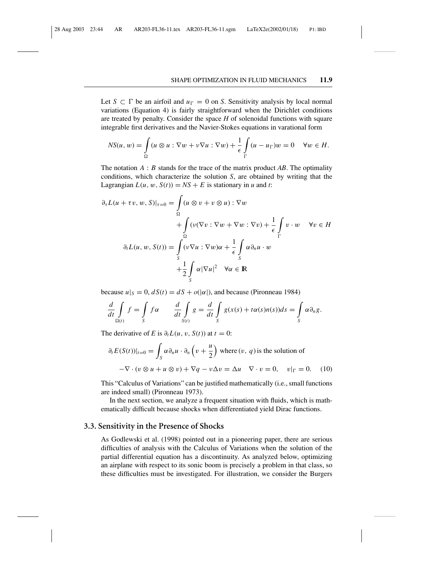Let  $S \subset \Gamma$  be an airfoil and  $u_{\Gamma} = 0$  on *S*. Sensitivity analysis by local normal variations (Equation 4) is fairly straightforward when the Dirichlet conditions are treated by penalty. Consider the space *H* of solenoidal functions with square integrable first derivatives and the Navier-Stokes equations in varational form

$$
NS(u, w) = \int_{\Omega} (u \otimes u : \nabla w + v \nabla u : \nabla w) + \frac{1}{\epsilon} \int_{\Gamma} (u - u_{\Gamma}) w = 0 \quad \forall w \in H.
$$

The notation *A* : *B* stands for the trace of the matrix product *AB*. The optimality conditions, which characterize the solution *S*, are obtained by writing that the Lagrangian  $L(u, w, S(t)) = NS + E$  is stationary in *u* and *t*:

$$
\partial_{\tau}L(u + \tau v, w, S)|_{\tau=0} = \int_{\Omega} (u \otimes v + v \otimes u) : \nabla w
$$

$$
+ \int_{\Omega} (v(\nabla v : \nabla w + \nabla w : \nabla v) + \frac{1}{\epsilon} \int_{\Gamma} v \cdot w \quad \forall v \in H
$$

$$
\partial_{t}L(u, w, S(t)) = \int_{S} (v \nabla u : \nabla w) \alpha + \frac{1}{\epsilon} \int_{S} \alpha \partial_{n}u \cdot w
$$

$$
+ \frac{1}{2} \int_{S} \alpha |\nabla u|^{2} \quad \forall \alpha \in \mathbb{R}
$$

because  $u|_S = 0$ ,  $dS(t) = dS + o(|\alpha|)$ , and because (Pironneau 1984)

$$
\frac{d}{dt}\int\limits_{\Omega(t)}f = \int\limits_{S}f\alpha \qquad \frac{d}{dt}\int\limits_{S(t)}g = \frac{d}{dt}\int\limits_{S}g(x(s) + t\alpha(s)n(s))ds = \int\limits_{S}\alpha \partial_n g.
$$

The derivative of *E* is  $\partial_t L(u, v, S(t))$  at  $t = 0$ :

$$
\partial_t E(S(t))|_{t=0} = \int_S \alpha \partial_n u \cdot \partial_n \left( v + \frac{u}{2} \right) \text{ where } (v, q) \text{ is the solution of}
$$

$$
-\nabla \cdot (v \otimes u + u \otimes v) + \nabla q - v \Delta v = \Delta u \quad \nabla \cdot v = 0, \quad v|_{\Gamma} = 0. \quad (10)
$$

This "Calculus of Variations" can be justified mathematically (i.e., small functions are indeed small) (Pironneau 1973).

In the next section, we analyze a frequent situation with fluids, which is mathematically difficult because shocks when differentiated yield Dirac functions.

# **3.3. Sensitivity in the Presence of Shocks**

As Godlewski et al. (1998) pointed out in a pioneering paper, there are serious difficulties of analysis with the Calculus of Variations when the solution of the partial differential equation has a discontinuity. As analyzed below, optimizing an airplane with respect to its sonic boom is precisely a problem in that class, so these difficulties must be investigated. For illustration, we consider the Burgers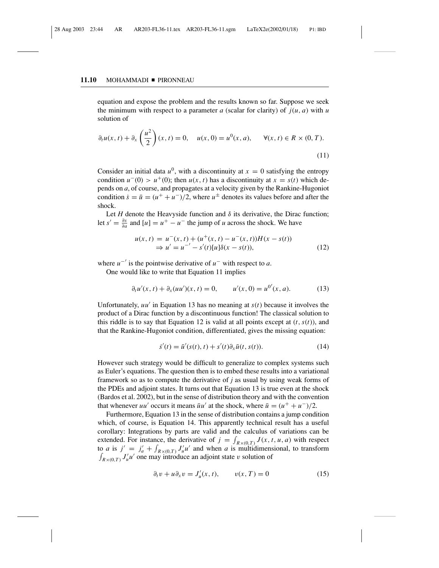#### 11.10 MOHAMMADI PIRONNEAU

equation and expose the problem and the results known so far. Suppose we seek the minimum with respect to a parameter  $a$  (scalar for clarity) of  $j(u, a)$  with  $u$ solution of

$$
\partial_t u(x, t) + \partial_x \left(\frac{u^2}{2}\right)(x, t) = 0, \quad u(x, 0) = u^0(x, a), \quad \forall (x, t) \in R \times (0, T).
$$
\n(11)

Consider an initial data  $u^0$ , with a discontinuity at  $x = 0$  satisfying the entropy condition  $u^-(0) > u^+(0)$ ; then  $u(x, t)$  has a discontinuity at  $x = s(t)$  which depends on *a*, of course, and propagates at a velocity given by the Rankine-Hugoniot condition  $\dot{s} = \bar{u} = (u^+ + u^-)/2$ , where  $u^{\pm}$  denotes its values before and after the shock.

Let  $H$  denote the Heavyside function and  $\delta$  its derivative, the Dirac function; let  $s' = \frac{\partial s}{\partial a}$  and  $[u] = u^+ - u^-$  the jump of *u* across the shock. We have

$$
u(x, t) = u^{-}(x, t) + (u^{+}(x, t) - u^{-}(x, t))H(x - s(t))
$$
  
\n
$$
\Rightarrow u' = u^{-'} - s'(t)[u]\delta(x - s(t)),
$$
\n(12)

where  $u^{-1}$  is the pointwise derivative of  $u^{-}$  with respect to *a*.

One would like to write that Equation 11 implies

$$
\partial_t u'(x, t) + \partial_x (uu')(x, t) = 0, \qquad u'(x, 0) = u^{0'}(x, a). \tag{13}
$$

Unfortunately,  $uu'$  in Equation 13 has no meaning at  $s(t)$  because it involves the product of a Dirac function by a discontinuous function! The classical solution to this riddle is to say that Equation 12 is valid at all points except at  $(t, s(t))$ , and that the Rankine-Hugoniot condition, differentiated, gives the missing equation:

$$
\dot{s}'(t) = \bar{u}'(s(t), t) + s'(t)\partial_x \bar{u}(t, s(t)).
$$
\n(14)

However such strategy would be difficult to generalize to complex systems such as Euler's equations. The question then is to embed these results into a variational framework so as to compute the derivative of *j* as usual by using weak forms of the PDEs and adjoint states. It turns out that Equation 13 is true even at the shock (Bardos et al. 2002), but in the sense of distribution theory and with the convention that whenever *uu'* occurs it means  $\bar{u}u'$  at the shock, where  $\bar{u} = (u^+ + u^-)/2$ .

Furthermore, Equation 13 in the sense of distribution contains a jump condition which, of course, is Equation 14. This apparently technical result has a useful corollary: Integrations by parts are valid and the calculus of variations can be extended. For instance, the derivative of  $j = \int_{R \times (0,T)} J(x, t, u, a)$  with respect to *a* is  $j' = j'_a + \int_{R \times (0,T)} J'_a u'$  and when *a* is multidimensional, to transform  $\int_{R\times(0,T)} J'_u u'$  one may introduce an adjoint state v solution of

$$
\partial_t v + u \partial_x v = J'_u(x, t), \qquad v(x, T) = 0 \tag{15}
$$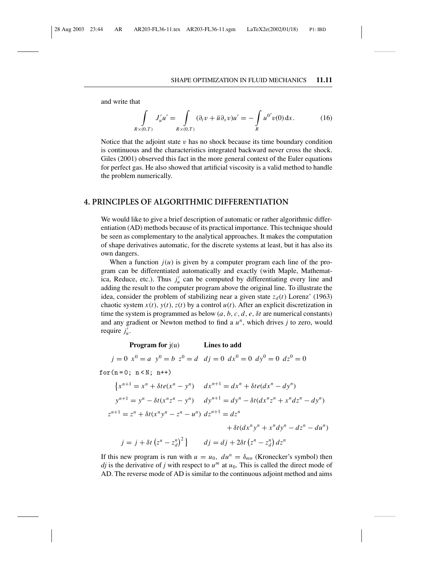and write that

$$
\int_{R \times (0,T)} J'_u u' = \int_{R \times (0,T)} (\partial_t v + \bar{u} \partial_x v) u' = -\int_R u^{0'} v(0) dx.
$$
 (16)

Notice that the adjoint state  $v$  has no shock because its time boundary condition is continuous and the characteristics integrated backward never cross the shock. Giles (2001) observed this fact in the more general context of the Euler equations for perfect gas. He also showed that artificial viscosity is a valid method to handle the problem numerically.

# **4. PRINCIPLES OF ALGORITHMIC DIFFERENTIATION**

We would like to give a brief description of automatic or rather algorithmic differentiation (AD) methods because of its practical importance. This technique should be seen as complementary to the analytical approaches. It makes the computation of shape derivatives automatic, for the discrete systems at least, but it has also its own dangers.

When a function  $j(u)$  is given by a computer program each line of the program can be differentiated automatically and exactly (with Maple, Mathematica, Reduce, etc.). Thus  $j'_u$  can be computed by differentiating every line and adding the result to the computer program above the original line. To illustrate the idea, consider the problem of stabilizing near a given state  $z_d(t)$  Lorenz' (1963) chaotic system  $x(t)$ ,  $y(t)$ ,  $z(t)$  by a control  $u(t)$ . After an explicit discretization in time the system is programmed as below  $(a, b, c, d, e, \delta t$  are numerical constants) and any gradient or Newton method to find a *u<sup>n</sup>*, which drives *j* to zero, would require  $j'_u$ .

**Program for** j(u) **Lines to add**

 $j = 0$   $x^0 = a$   $y^0 = b$   $z^0 = d$   $dj = 0$   $dx^0 = 0$   $dy^0 = 0$   $dz^0 = 0$ 

for $(n = 0; n < N; n++)$ 

$$
\{x^{n+1} = x^n + \delta t e(x^n - y^n) \quad dx^{n+1} = dx^n + \delta t e(dx^n - dy^n)
$$
  

$$
y^{n+1} = y^n - \delta t (x^n z^n - y^n) \quad dy^{n+1} = dy^n - \delta t (dx^n z^n + x^n dz^n - dy^n)
$$
  

$$
z^{n+1} = z^n + \delta t (x^n y^n - z^n - u^n) \, dz^{n+1} = dz^n
$$
  

$$
+ \delta t (dx^n y^n + x^n dy^n - dz^n - du^n)
$$
  

$$
j = j + \delta t (z^n - z_d^n)^2 \} \quad dj = dj + 2\delta t (z^n - z_d^n) dz^n
$$

If this new program is run with  $u = u_0$ ,  $du^n = \delta_{mn}$  (Kronecker's symbol) then *dj* is the derivative of *j* with respect to  $u^m$  at  $u_0$ . This is called the direct mode of AD. The reverse mode of AD is similar to the continuous adjoint method and aims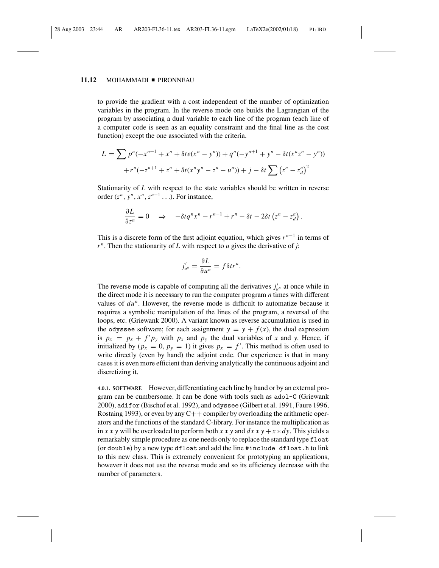# 11.12 MOHAMMADI PIRONNEAU

to provide the gradient with a cost independent of the number of optimization variables in the program. In the reverse mode one builds the Lagrangian of the program by associating a dual variable to each line of the program (each line of a computer code is seen as an equality constraint and the final line as the cost function) except the one associated with the criteria.

$$
L = \sum p^{n}(-x^{n+1} + x^{n} + \delta t e(x^{n} - y^{n})) + q^{n}(-y^{n+1} + y^{n} - \delta t (x^{n}z^{n} - y^{n}))
$$

$$
+ r^{n}(-z^{n+1} + z^{n} + \delta t (x^{n}y^{n} - z^{n} - u^{n})) + j - \delta t \sum (z^{n} - z_{d}^{n})^{2}
$$

Stationarity of *L* with respect to the state variables should be written in reverse order  $(z^n, y^n, x^n, z^{n-1} \dots)$ . For instance,

$$
\frac{\partial L}{\partial z^n} = 0 \quad \Rightarrow \quad -\delta t q^n x^n - r^{n-1} + r^n - \delta t - 2\delta t \left( z^n - z_d^n \right).
$$

This is a discrete form of the first adjoint equation, which gives *r <sup>n</sup>*−<sup>1</sup> in terms of  $r^n$ . Then the stationarity of *L* with respect to *u* gives the derivative of *j*:

$$
j'_{u^n} = \frac{\partial L}{\partial u^n} = f \delta t r^n.
$$

The reverse mode is capable of computing all the derivatives  $j'_{\mu^n}$  at once while in the direct mode it is necessary to run the computer program *n* times with different values of *du<sup>n</sup>*. However, the reverse mode is difficult to automatize because it requires a symbolic manipulation of the lines of the program, a reversal of the loops, etc. (Griewank 2000). A variant known as reverse accumulation is used in the odyssee software; for each assignment  $y = y + f(x)$ , the dual expression is  $p_x = p_x + f' p_y$  with  $p_x$  and  $p_y$  the dual variables of *x* and *y*. Hence, if initialized by  $(p_x = 0, p_y = 1)$  it gives  $p_x = f'$ . This method is often used to write directly (even by hand) the adjoint code. Our experience is that in many cases it is even more efficient than deriving analytically the continuous adjoint and discretizing it.

**4.0.1. SOFTWARE** However, differentiating each line by hand or by an external program can be cumbersome. It can be done with tools such as adol-C (Griewank 2000), adifor (Bischof et al. 1992), and odyssee (Gilbert et al. 1991, Faure 1996, Rostaing 1993), or even by any  $C++$  compiler by overloading the arithmetic operators and the functions of the standard C-library. For instance the multiplication as in  $x * y$  will be overloaded to perform both  $x * y$  and  $dx * y + x * dy$ . This yields a remarkably simple procedure as one needs only to replace the standard type float (or double) by a new type dfloat and add the line #include dfloat.h to link to this new class. This is extremely convenient for prototyping an applications, however it does not use the reverse mode and so its efficiency decrease with the number of parameters.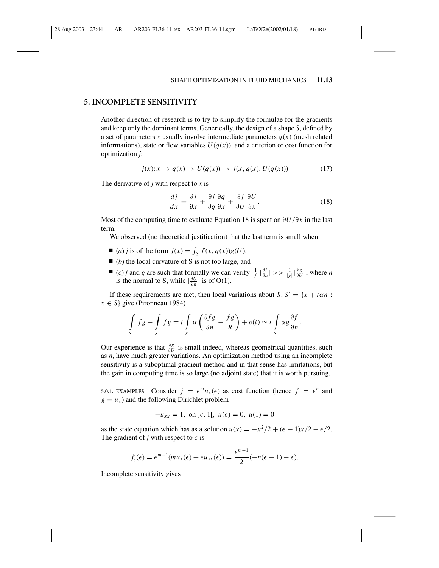# **5. INCOMPLETE SENSITIVITY**

Another direction of research is to try to simplify the formulae for the gradients and keep only the dominant terms. Generically, the design of a shape *S*, defined by a set of parameters *x* usually involve intermediate parameters  $q(x)$  (mesh related informations), state or flow variables  $U(q(x))$ , and a criterion or cost function for optimization *j*:

$$
j(x): x \to q(x) \to U(q(x)) \to j(x, q(x), U(q(x)))\tag{17}
$$

The derivative of *j* with respect to *x* is

$$
\frac{dj}{dx} = \frac{\partial j}{\partial x} + \frac{\partial j}{\partial q} \frac{\partial q}{\partial x} + \frac{\partial j}{\partial U} \frac{\partial U}{\partial x}.
$$
(18)

Most of the computing time to evaluate Equation 18 is spent on ∂*U*/∂*x* in the last term.

We observed (no theoretical justification) that the last term is small when:

- $\blacksquare$  (*a*) *j* is of the form  $j(x) = \int_S f(x, q(x))g(U)$ ,
- (*b*) the local curvature of S is not too large, and
- (*c*) *f* and *g* are such that formally we can verify  $\frac{1}{|f|} \left| \frac{\partial f}{\partial n} \right| \gg \frac{1}{|g|} \left| \frac{\partial g}{\partial U} \right|$ , where *n* is the normal to S, while  $\left|\frac{\partial U}{\partial n}\right|$  is of O(1).

If these requirements are met, then local variations about *S*,  $S' = \{x + \tan : x \in S\}$  $x \in S$ } give (Pironneau 1984)

$$
\int_{S'} fg - \int_{S} fg = t \int_{S} \alpha \left( \frac{\partial fg}{\partial n} - \frac{fg}{R} \right) + o(t) \sim t \int_{S} \alpha g \frac{\partial f}{\partial n}.
$$

Our experience is that  $\frac{\partial g}{\partial U}$  is small indeed, whereas geometrical quantities, such as *n*, have much greater variations. An optimization method using an incomplete sensitivity is a suboptimal gradient method and in that sense has limitations, but the gain in computing time is so large (no adjoint state) that it is worth pursuing.

**5.0.1. EXAMPLES** Consider  $j = \epsilon^m u_x(\epsilon)$  as cost function (hence  $f = \epsilon^n$  and  $g = u_x$ ) and the following Dirichlet problem

$$
-u_{xx} = 1, \text{ on } ]\epsilon, 1[, u(\epsilon) = 0, u(1) = 0
$$

as the state equation which has as a solution  $u(x) = -x^2/2 + (\epsilon + 1)x/2 - \epsilon/2$ . The gradient of *j* with respect to  $\epsilon$  is

$$
j'_{\epsilon}(\epsilon) = \epsilon^{m-1}(mu_x(\epsilon) + \epsilon u_{x\epsilon}(\epsilon)) = \frac{\epsilon^{m-1}}{2}(-n(\epsilon-1) - \epsilon).
$$

Incomplete sensitivity gives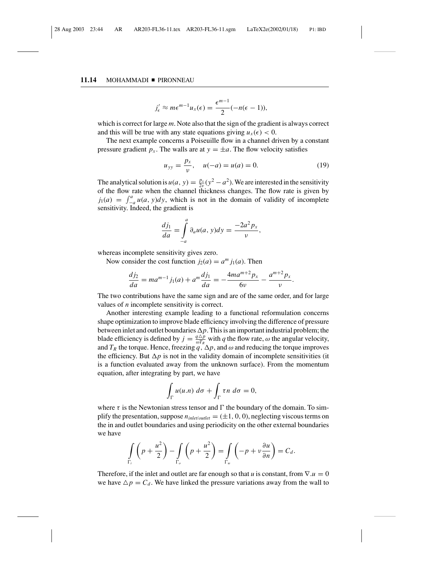#### 11.14 MOHAMMADI PIRONNEAU

$$
j'_{\epsilon} \approx m\epsilon^{m-1}u_{x}(\epsilon) = \frac{\epsilon^{m-1}}{2}(-n(\epsilon-1)),
$$

which is correct for large *m*. Note also that the sign of the gradient is always correct and this will be true with any state equations giving  $u_x(\epsilon) < 0$ .

The next example concerns a Poiseuille flow in a channel driven by a constant pressure gradient  $p_x$ . The walls are at  $y = \pm a$ . The flow velocity satisfies

$$
u_{yy} = \frac{p_x}{v}, \quad u(-a) = u(a) = 0.
$$
 (19)

The analytical solution is  $u(a, y) = \frac{p_x}{2v}(y^2 - a^2)$ . We are interested in the sensitivity of the flow rate when the channel thickness changes. The flow rate is given by  $j_1(a) = \int_{-a}^{a} u(a, y) dy$ , which is not in the domain of validity of incomplete sensitivity. Indeed, the gradient is

$$
\frac{dj_1}{da} = \int_{-a}^{a} \partial_a u(a, y) dy = \frac{-2a^2 p_x}{v},
$$

whereas incomplete sensitivity gives zero.

Now consider the cost function  $j_2(a) = a^m j_1(a)$ . Then

$$
\frac{dj_2}{da} = ma^{m-1}j_1(a) + a^m\frac{dj_1}{da} = -\frac{4ma^{m+2}p_x}{6\nu} - \frac{a^{m+2}p_x}{\nu}.
$$

The two contributions have the same sign and are of the same order, and for large values of *n* incomplete sensitivity is correct.

Another interesting example leading to a functional reformulation concerns shape optimization to improve blade efficiency involving the difference of pressure between inlet and outlet boundaries  $\Delta p$ . This is an important industrial problem; the blade efficiency is defined by  $j = \frac{q \Delta p}{\omega T_R}$  with *q* the flow rate,  $\omega$  the angular velocity, and  $T_R$  the torque. Hence, freezing  $q$ ,  $\Delta p$ , and  $\omega$  and reducing the torque improves the efficiency. But  $\Delta p$  is not in the validity domain of incomplete sensitivities (it is a function evaluated away from the unknown surface). From the momentum equation, after integrating by part, we have

$$
\int_{\Gamma} u(u.n) \, d\sigma + \int_{\Gamma} \tau n \, d\sigma = 0,
$$

where  $\tau$  is the Newtonian stress tensor and  $\Gamma$  the boundary of the domain. To simplify the presentation, suppose  $n_{\text{inlet/outlet}} = (\pm 1, 0, 0)$ , neglecting viscous terms on the in and outlet boundaries and using periodicity on the other external boundaries we have

$$
\int_{\Gamma_i} \left( p + \frac{u^2}{2} \right) - \int_{\Gamma_o} \left( p + \frac{u^2}{2} \right) = \int_{\Gamma_w} \left( -p + v \frac{\partial u}{\partial n} \right) = C_d.
$$

Therefore, if the inlet and outlet are far enough so that *u* is constant, from  $\nabla.u = 0$ we have  $\Delta p = C_d$ . We have linked the pressure variations away from the wall to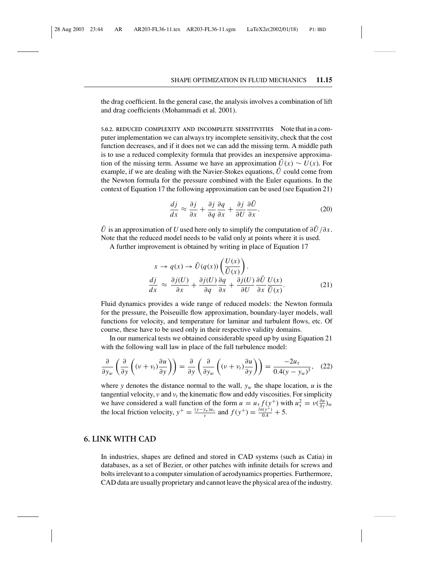the drag coefficient. In the general case, the analysis involves a combination of lift and drag coefficients (Mohammadi et al. 2001).

**5.0.2. REDUCED COMPLEXITY AND INCOMPLETE SENSITIVITIES** Note that in a computer implementation we can always try incomplete sensitivity, check that the cost function decreases, and if it does not we can add the missing term. A middle path is to use a reduced complexity formula that provides an inexpensive approximation of the missing term. Assume we have an approximation  $\tilde{U}(x) \sim U(x)$ . For example, if we are dealing with the Navier-Stokes equations, *U*˜ could come from the Newton formula for the pressure combined with the Euler equations. In the context of Equation 17 the following approximation can be used (see Equation 21)

$$
\frac{dj}{dx} \approx \frac{\partial j}{\partial x} + \frac{\partial j}{\partial q} \frac{\partial q}{\partial x} + \frac{\partial j}{\partial U} \frac{\partial \tilde{U}}{\partial x}.
$$
 (20)

 $\tilde{U}$  is an approximation of *U* used here only to simplify the computation of  $\partial \tilde{U}/\partial x$ . Note that the reduced model needs to be valid only at points where it is used.

A further improvement is obtained by writing in place of Equation 17

$$
x \to q(x) \to \tilde{U}(q(x)) \left( \frac{U(x)}{\tilde{U}(x)} \right).
$$
  
\n
$$
\frac{dj}{dx} \approx \frac{\partial j(U)}{\partial x} + \frac{\partial j(U)}{\partial q} \frac{\partial q}{\partial x} + \frac{\partial j(U)}{\partial U} \frac{\partial \tilde{U}}{\partial x} \frac{U(x)}{\tilde{U}(x)}.
$$
\n(21)

Fluid dynamics provides a wide range of reduced models: the Newton formula for the pressure, the Poiseuille flow approximation, boundary-layer models, wall functions for velocity, and temperature for laminar and turbulent flows, etc. Of course, these have to be used only in their respective validity domains.

In our numerical tests we obtained considerable speed up by using Equation 21 with the following wall law in place of the full turbulence model:

$$
\frac{\partial}{\partial y_w} \left( \frac{\partial}{\partial y} \left( (v + v_t) \frac{\partial u}{\partial y} \right) \right) = \frac{\partial}{\partial y} \left( \frac{\partial}{\partial y_w} \left( (v + v_t) \frac{\partial u}{\partial y} \right) \right) = \frac{-2u_\tau}{0.4(y - y_w)^3}, \quad (22)
$$

where *y* denotes the distance normal to the wall,  $y_w$  the shape location, *u* is the tangential velocity,  $v$  and  $v_t$  the kinematic flow and eddy viscosities. For simplicity we have considered a wall function of the form  $u = u_\tau f(y^+)$  with  $u_\tau^2 = v(\frac{\partial u}{\partial y})_w$ the local friction velocity,  $y^+ = \frac{(y - y_w)u_\tau}{v}$  and  $f(y^+) = \frac{ln(y^+)}{0.4} + 5$ .

# **6. LINK WITH CAD**

In industries, shapes are defined and stored in CAD systems (such as Catia) in databases, as a set of Bezier, or other patches with infinite details for screws and bolts irrelevant to a computer simulation of aerodynamics properties. Furthermore, CAD data are usually proprietary and cannot leave the physical area of the industry.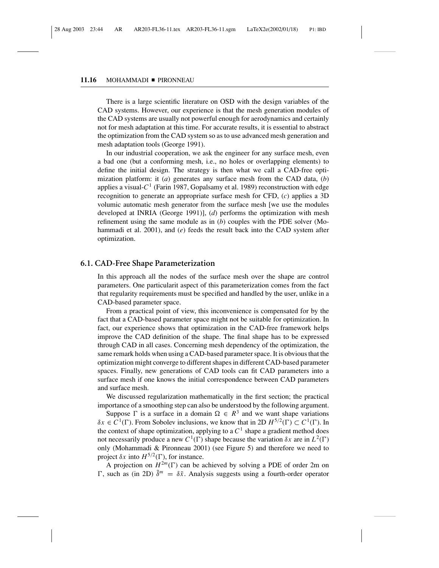### 11.16 MOHAMMADI PIRONNEAU

There is a large scientific literature on OSD with the design variables of the CAD systems. However, our experience is that the mesh generation modules of the CAD systems are usually not powerful enough for aerodynamics and certainly not for mesh adaptation at this time. For accurate results, it is essential to abstract the optimization from the CAD system so as to use advanced mesh generation and mesh adaptation tools (George 1991).

In our industrial cooperation, we ask the engineer for any surface mesh, even a bad one (but a conforming mesh, i.e., no holes or overlapping elements) to define the initial design. The strategy is then what we call a CAD-free optimization platform: it (*a*) generates any surface mesh from the CAD data, (*b*) applies a visual- $C<sup>1</sup>$  (Farin 1987, Gopalsamy et al. 1989) reconstruction with edge recognition to generate an appropriate surface mesh for CFD, (*c*) applies a 3D volumic automatic mesh generator from the surface mesh [we use the modules developed at INRIA (George 1991)], (*d*) performs the optimization with mesh refinement using the same module as in (*b*) couples with the PDE solver (Mohammadi et al. 2001), and (*e*) feeds the result back into the CAD system after optimization.

# **6.1. CAD-Free Shape Parameterization**

In this approach all the nodes of the surface mesh over the shape are control parameters. One particularit aspect of this parameterization comes from the fact that regularity requirements must be specified and handled by the user, unlike in a CAD-based parameter space.

From a practical point of view, this inconvenience is compensated for by the fact that a CAD-based parameter space might not be suitable for optimization. In fact, our experience shows that optimization in the CAD-free framework helps improve the CAD definition of the shape. The final shape has to be expressed through CAD in all cases. Concerning mesh dependency of the optimization, the same remark holds when using a CAD-based parameter space. It is obvious that the optimization might converge to different shapes in different CAD-based parameter spaces. Finally, new generations of CAD tools can fit CAD parameters into a surface mesh if one knows the initial correspondence between CAD parameters and surface mesh.

We discussed regularization mathematically in the first section; the practical importance of a smoothing step can also be understood by the following argument.

Suppose  $\Gamma$  is a surface in a domain  $\Omega \in \mathbb{R}^3$  and we want shape variations  $\delta x \in C^1(\Gamma)$ . From Sobolev inclusions, we know that in 2D  $H^{5/2}(\Gamma) \subset C^1(\Gamma)$ . In the context of shape optimization, applying to a  $C<sup>1</sup>$  shape a gradient method does not necessarily produce a new  $C^1(\Gamma)$  shape because the variation  $\delta x$  are in  $L^2(\Gamma)$ only (Mohammadi & Pironneau 2001) (see Figure 5) and therefore we need to project  $\delta x$  into  $H^{5/2}(\Gamma)$ , for instance.

A projection on  $H^{2m}(\Gamma)$  can be achieved by solving a PDE of order 2m on  $\Gamma$ , such as (in 2D)  $\tilde{\delta}^m = \delta \tilde{x}$ . Analysis suggests using a fourth-order operator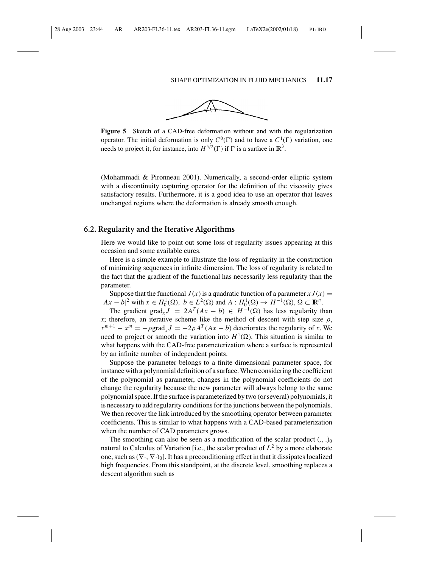

**Figure 5** Sketch of a CAD-free deformation without and with the regularization operator. The initial deformation is only  $C^0(\Gamma)$  and to have a  $C^1(\Gamma)$  variation, one needs to project it, for instance, into  $H^{5/2}(\Gamma)$  if  $\Gamma$  is a surface in  $\mathbb{R}^3$ .

(Mohammadi & Pironneau 2001). Numerically, a second-order elliptic system with a discontinuity capturing operator for the definition of the viscosity gives satisfactory results. Furthermore, it is a good idea to use an operator that leaves unchanged regions where the deformation is already smooth enough.

# **6.2. Regularity and the Iterative Algorithms**

Here we would like to point out some loss of regularity issues appearing at this occasion and some available cures.

Here is a simple example to illustrate the loss of regularity in the construction of minimizing sequences in infinite dimension. The loss of regularity is related to the fact that the gradient of the functional has necessarily less regularity than the parameter.

Suppose that the functional  $J(x)$  is a quadratic function of a parameter  $x J(x) =$  $|Ax - b|^2$  with  $x \in H_0^1(\Omega)$ ,  $b \in L^2(\Omega)$  and  $A : H_0^1(\Omega) \to H^{-1}(\Omega)$ ,  $\Omega \subset \mathbb{R}^n$ .

The gradient grad<sub>*x*</sub></sub> $J = 2A^T(Ax - b) \in H^{-1}(\Omega)$  has less regularity than *x*; therefore, an iterative scheme like the method of descent with step size  $\rho$ ,  $x^{m+1} - x^m = -\rho \text{grad}_x J = -2\rho A^T (Ax - b)$  deteriorates the regularity of *x*. We need to project or smooth the variation into  $H^1(\Omega)$ . This situation is similar to what happens with the CAD-free parameterization where a surface is represented by an infinite number of independent points.

Suppose the parameter belongs to a finite dimensional parameter space, for instance with a polynomial definition of a surface. When considering the coefficient of the polynomial as parameter, changes in the polynomial coefficients do not change the regularity because the new parameter will always belong to the same polynomial space. If the surface is parameterized by two (or several) polynomials, it is necessary to add regularity conditions for the junctions between the polynomials. We then recover the link introduced by the smoothing operator between parameter coefficients. This is similar to what happens with a CAD-based parameterization when the number of CAD parameters grows.

The smoothing can also be seen as a modification of the scalar product  $(., .)_0$ natural to Calculus of Variation [i.e., the scalar product of  $L^2$  by a more elaborate one, such as  $(\nabla \cdot, \nabla \cdot)_0$ . It has a preconditioning effect in that it dissipates localized high frequencies. From this standpoint, at the discrete level, smoothing replaces a descent algorithm such as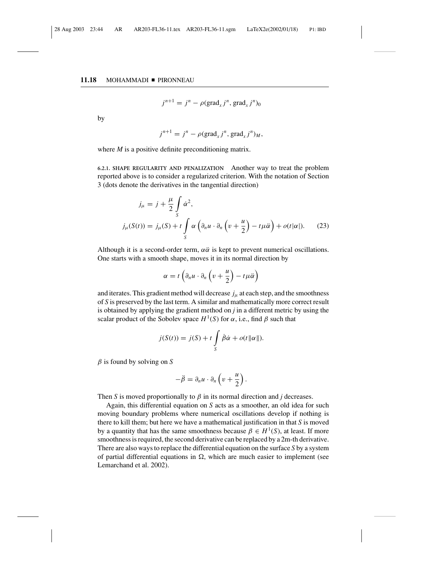### 11.18 MOHAMMADI PIRONNEAU

$$
j^{n+1} = j^n - \rho(\text{grad}_x j^n, \text{grad}_x j^n)_0
$$

by

$$
j^{n+1} = j^n - \rho(\text{grad}_x j^n, \text{grad}_x j^n)_M,
$$

where *M* is a positive definite preconditioning matrix.

**6.2.1. SHAPE REGULARITY AND PENALIZATION** Another way to treat the problem reported above is to consider a regularized criterion. With the notation of Section 3 (dots denote the derivatives in the tangential direction)

$$
j_{\mu} = j + \frac{\mu}{2} \int_{S} \dot{\alpha}^{2},
$$
  

$$
j_{\mu}(S(t)) = j_{\mu}(S) + t \int_{S} \alpha \left( \partial_{n} u \cdot \partial_{n} \left( v + \frac{u}{2} \right) - t \mu \ddot{\alpha} \right) + o(t|\alpha|). \tag{23}
$$

Although it is a second-order term,  $\alpha \ddot{\alpha}$  is kept to prevent numerical oscillations. One starts with a smooth shape, moves it in its normal direction by

$$
\alpha = t \left( \partial_n u \cdot \partial_n \left( v + \frac{u}{2} \right) - t \mu \ddot{\alpha} \right)
$$

and iterates. This gradient method will decrease  $j_{\mu}$  at each step, and the smoothness of *S* is preserved by the last term. A similar and mathematically more correct result is obtained by applying the gradient method on *j* in a different metric by using the scalar product of the Sobolev space  $H^1(S)$  for  $\alpha$ , i.e., find  $\beta$  such that

$$
j(S(t)) = j(S) + t \int_{S} \dot{\beta} \dot{\alpha} + o(t ||\alpha||).
$$

β is found by solving on *S*

$$
-\ddot{\beta}=\partial_n u\cdot\partial_n\left(v+\frac{u}{2}\right).
$$

Then *S* is moved proportionally to  $\beta$  in its normal direction and *j* decreases.

Again, this differential equation on *S* acts as a smoother, an old idea for such moving boundary problems where numerical oscillations develop if nothing is there to kill them; but here we have a mathematical justification in that *S* is moved by a quantity that has the same smoothness because  $\beta \in H^1(S)$ , at least. If more smoothness is required, the second derivative can be replaced by a 2m-th derivative. There are also ways to replace the differential equation on the surface *S* by a system of partial differential equations in  $\Omega$ , which are much easier to implement (see Lemarchand et al. 2002).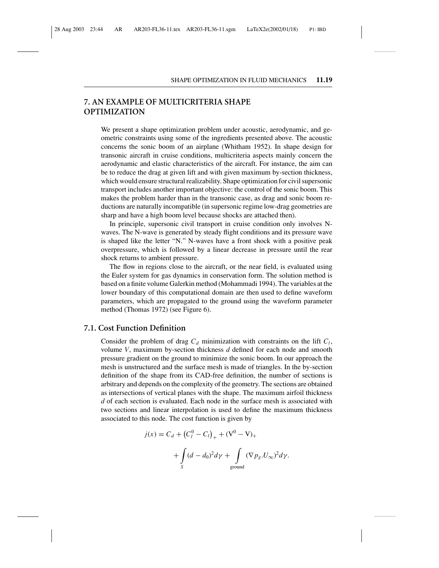# **7. AN EXAMPLE OF MULTICRITERIA SHAPE OPTIMIZATION**

We present a shape optimization problem under acoustic, aerodynamic, and geometric constraints using some of the ingredients presented above. The acoustic concerns the sonic boom of an airplane (Whitham 1952). In shape design for transonic aircraft in cruise conditions, multicriteria aspects mainly concern the aerodynamic and elastic characteristics of the aircraft. For instance, the aim can be to reduce the drag at given lift and with given maximum by-section thickness, which would ensure structural realizability. Shape optimization for civil supersonic transport includes another important objective: the control of the sonic boom. This makes the problem harder than in the transonic case, as drag and sonic boom reductions are naturally incompatible (in supersonic regime low-drag geometries are sharp and have a high boom level because shocks are attached then).

In principle, supersonic civil transport in cruise condition only involves Nwaves. The N-wave is generated by steady flight conditions and its pressure wave is shaped like the letter "N." N-waves have a front shock with a positive peak overpressure, which is followed by a linear decrease in pressure until the rear shock returns to ambient pressure.

The flow in regions close to the aircraft, or the near field, is evaluated using the Euler system for gas dynamics in conservation form. The solution method is based on a finite volume Galerkin method (Mohammadi 1994). The variables at the lower boundary of this computational domain are then used to define waveform parameters, which are propagated to the ground using the waveform parameter method (Thomas 1972) (see Figure 6).

# **7.1. Cost Function Definition**

Consider the problem of drag  $C_d$  minimization with constraints on the lift  $C_l$ , volume *V*, maximum by-section thickness *d* defined for each node and smooth pressure gradient on the ground to minimize the sonic boom. In our approach the mesh is unstructured and the surface mesh is made of triangles. In the by-section definition of the shape from its CAD-free definition, the number of sections is arbitrary and depends on the complexity of the geometry. The sections are obtained as intersections of vertical planes with the shape. The maximum airfoil thickness *d* of each section is evaluated. Each node in the surface mesh is associated with two sections and linear interpolation is used to define the maximum thickness associated to this node. The cost function is given by

$$
j(x) = C_d + (C_l^0 - C_l)_+ + (V^0 - V)_+
$$
  
+ 
$$
\int_S (d - d_0)^2 d\gamma + \int_{\text{ground}} (\nabla p_g U_\infty)^2 d\gamma.
$$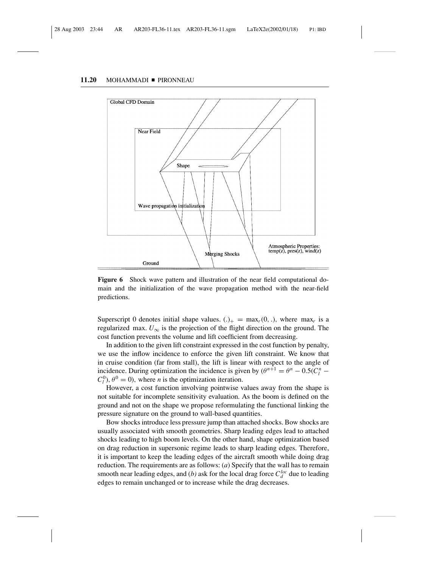#### 11.20 MOHAMMADI PIRONNEAU



**Figure 6** Shock wave pattern and illustration of the near field computational domain and the initialization of the wave propagation method with the near-field predictions.

Superscript 0 denotes initial shape values.  $(.)_{+} = \max_{r}(0, .)$ , where  $\max_{r}$  is a regularized max.  $U_{\infty}$  is the projection of the flight direction on the ground. The cost function prevents the volume and lift coefficient from decreasing.

In addition to the given lift constraint expressed in the cost function by penalty, we use the inflow incidence to enforce the given lift constraint. We know that in cruise condition (far from stall), the lift is linear with respect to the angle of incidence. During optimization the incidence is given by  $(\theta^{n+1} = \theta^n - 0.5(C_l^n C_l^0$ ,  $\theta^0 = 0$ , where *n* is the optimization iteration.

However, a cost function involving pointwise values away from the shape is not suitable for incomplete sensitivity evaluation. As the boom is defined on the ground and not on the shape we propose reformulating the functional linking the pressure signature on the ground to wall-based quantities.

Bow shocks introduce less pressure jump than attached shocks. Bow shocks are usually associated with smooth geometries. Sharp leading edges lead to attached shocks leading to high boom levels. On the other hand, shape optimization based on drag reduction in supersonic regime leads to sharp leading edges. Therefore, it is important to keep the leading edges of the aircraft smooth while doing drag reduction. The requirements are as follows: (*a*) Specify that the wall has to remain smooth near leading edges, and (*b*) ask for the local drag force  $C_d^{loc}$  due to leading edges to remain unchanged or to increase while the drag decreases.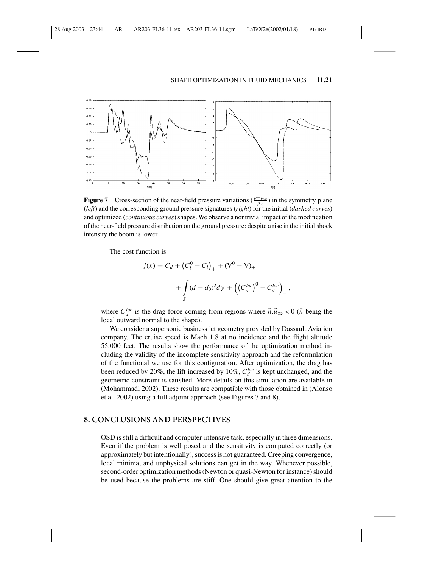

**Figure 7** Cross-section of the near-field pressure variations ( $\frac{p-p_{\infty}}{p_{\infty}}$ ) in the symmetry plane (*left*) and the corresponding ground pressure signatures (*right*) for the initial (*dashed curves*) and optimized (*continuous curves*) shapes. We observe a nontrivial impact of the modification of the near-field pressure distribution on the ground pressure: despite a rise in the initial shock intensity the boom is lower.

The cost function is

$$
j(x) = C_d + (C_l^0 - C_l)_+ + (V^0 - V)_+
$$
  
+ 
$$
\int_S (d - d_0)^2 d\gamma + ((C_d^{loc})^0 - C_d^{loc})_+,
$$

where  $C_d^{loc}$  is the drag force coming from regions where  $\vec{n} \cdot \vec{u}_{\infty} < 0$  ( $\vec{n}$  being the local outward normal to the shape).

We consider a supersonic business jet geometry provided by Dassault Aviation company. The cruise speed is Mach 1.8 at no incidence and the flight altitude 55,000 feet. The results show the performance of the optimization method including the validity of the incomplete sensitivity approach and the reformulation of the functional we use for this configuration. After optimization, the drag has been reduced by 20%, the lift increased by 10%,  $C_d^{loc}$  is kept unchanged, and the geometric constraint is satisfied. More details on this simulation are available in (Mohammadi 2002). These results are compatible with those obtained in (Alonso et al. 2002) using a full adjoint approach (see Figures 7 and 8).

# **8. CONCLUSIONS AND PERSPECTIVES**

OSD is still a difficult and computer-intensive task, especially in three dimensions. Even if the problem is well posed and the sensitivity is computed correctly (or approximately but intentionally), success is not guaranteed. Creeping convergence, local minima, and unphysical solutions can get in the way. Whenever possible, second-order optimization methods (Newton or quasi-Newton for instance) should be used because the problems are stiff. One should give great attention to the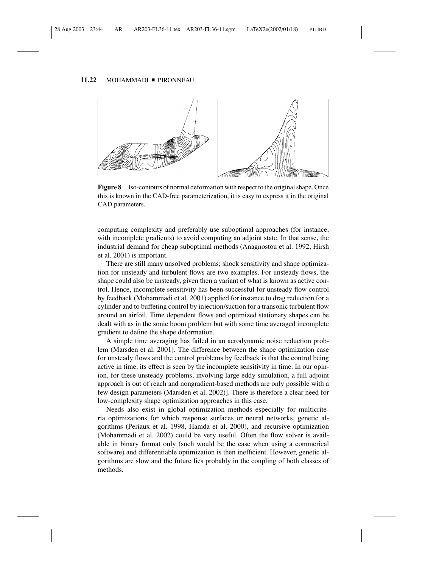#### 11.22 MOHAMMADI PIRONNEAU



**Figure 8** Iso-contours of normal deformation with respect to the original shape. Once this is known in the CAD-free parameterization, it is easy to express it in the original CAD parameters.

computing complexity and preferably use suboptimal approaches (for instance, with incomplete gradients) to avoid computing an adjoint state. In that sense, the industrial demand for cheap suboptimal methods (Anagnostou et al. 1992, Hirsh et al. 2001) is important.

There are still many unsolved problems; shock sensitivity and shape optimization for unsteady and turbulent flows are two examples. For unsteady flows, the shape could also be unsteady, given then a variant of what is known as active control. Hence, incomplete sensitivity has been successful for unsteady flow control by feedback (Mohammadi et al. 2001) applied for instance to drag reduction for a cylinder and to buffeting control by injection/suction for a transonic turbulent flow around an airfoil. Time dependent flows and optimized stationary shapes can be dealt with as in the sonic boom problem but with some time averaged incomplete gradient to define the shape deformation.

A simple time averaging has failed in an aerodynamic noise reduction problem (Marsden et al. 2001). The difference between the shape optimization case for unsteady flows and the control problems by feedback is that the control being active in time, its effect is seen by the incomplete sensitivity in time. In our opinion, for these unsteady problems, involving large eddy simulation, a full adjoint approach is out of reach and nongradient-based methods are only possible with a few design parameters (Marsden et al. 2002)]. There is therefore a clear need for low-complexity shape optimization approaches in this case.

Needs also exist in global optimization methods especially for multicriteria optimizations for which response surfaces or neural networks, genetic algorithms (Periaux et al. 1998, Hamda et al. 2000), and recursive optimization (Mohammadi et al. 2002) could be very useful. Often the flow solver is available in binary format only (such would be the case when using a commerical software) and differentiable optimization is then inefficient. However, genetic algorithms are slow and the future lies probably in the coupling of both classes of methods.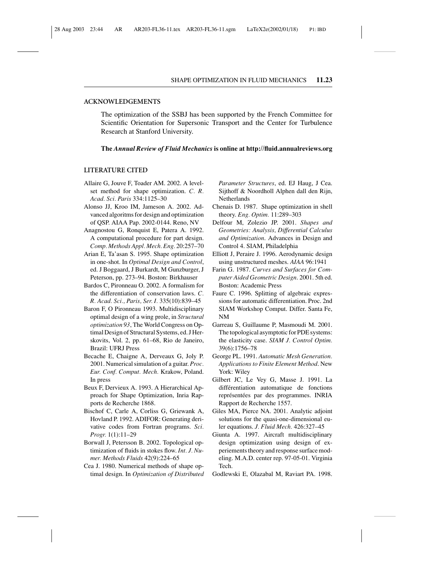#### **ACKNOWLEDGEMENTS**

The optimization of the SSBJ has been supported by the French Committee for Scientific Orientation for Supersonic Transport and the Center for Turbulence Research at Stanford University.

**The** *Annual Review of Fluid Mechanics* **is online at http://fluid.annualreviews.org**

### **LITERATURE CITED**

- Allaire G, Jouve F, Toader AM. 2002. A levelset method for shape optimization. *C. R. Acad. Sci. Paris* 334:1125–30
- Alonso JJ, Kroo IM, Jameson A. 2002. Advanced algoritms for design and optimization of QSP. AIAA Pap. 2002-0144. Reno, NV
- Anagnostou G, Ronquist E, Patera A. 1992. A computational procedure for part design. *Comp. Methods Appl. Mech. Eng.* 20:257–70
- Arian E, Ta'asan S. 1995. Shape optimization in one-shot. In *Optimal Design and Control*, ed. J Boggaard, J Burkardt, M Gunzburger, J Peterson, pp. 273–94. Boston: Birkhauser
- Bardos C, Pironneau O. 2002. A formalism for the differentiation of conservation laws. *C. R. Acad. Sci., Paris, Ser. I.* 335(10):839–45
- Baron F, O Pironneau 1993. Multidisciplinary optimal design of a wing prole, in *Structural optimization 93*, The World Congress on Optimal Design of Structural Systems, ed. J Herskovits, Vol. 2, pp. 61–68, Rio de Janeiro, Brazil: UFRJ Press
- Becache E, Chaigne A, Derveaux G, Joly P. 2001. Numerical simulation of a guitar. *Proc. Eur. Conf. Comput. Mech.* Krakow, Poland. In press
- Beux F, Dervieux A. 1993. A Hierarchical Approach for Shape Optimization, Inria Rapports de Recherche 1868.
- Bischof C, Carle A, Corliss G, Griewank A, Hovland P. 1992. ADIFOR: Generating derivative codes from Fortran programs. *Sci. Progr.* 1(1):11–29
- Borwall J, Petersson B. 2002. Topological optimization of fluids in stokes flow. *Int. J. Numer. Methods Fluids* 42(9):224–65
- Cea J. 1980. Numerical methods of shape optimal design. In *Optimization of Distributed*

*Parameter Structures*, ed. EJ Haug, J Cea. Sijthoff & Noordholl Alphen dall den Rijn, Netherlands

- Chenais D. 1987. Shape optimization in shell theory. *Eng. Optim.* 11:289–303
- Delfour M, Zolezio JP. 2001. *Shapes and Geometries: Analysis, Differential Calculus and Optimization*. Advances in Design and Control 4. SIAM, Philadelphia
- Elliott J, Peraire J. 1996. Aerodynamic design using unstructured meshes. *AIAA* 96:1941
- Farin G. 1987. *Curves and Surfaces for Computer Aided Geometric Design*. 2001. 5th ed. Boston: Academic Press
- Faure C. 1996. Splitting of algebraic expressions for automatic differentiation. Proc. 2nd SIAM Workshop Comput. Differ. Santa Fe, NM
- Garreau S, Guillaume P, Masmoudi M. 2001. The topological asymptotic for PDE systems: the elasticity case. *SIAM J. Control Optim.* 39(6):1756–78
- George PL. 1991. *Automatic Mesh Generation. Applications to Finite Element Method*. New York: Wiley
- Gilbert JC, Le Vey G, Masse J. 1991. La différentiation automatique de fonctions représentées par des programmes. INRIA Rapport de Recherche 1557.
- Giles MA, Pierce NA. 2001. Analytic adjoint solutions for the quasi-one-dimensional euler equations. *J. Fluid Mech.* 426:327–45
- Giunta A. 1997. Aircraft multidisciplinary design optimization using design of experiements theory and response surface modeling. M.A.D. center rep. 97-05-01. Virginia Tech.
- Godlewski E, Olazabal M, Raviart PA. 1998.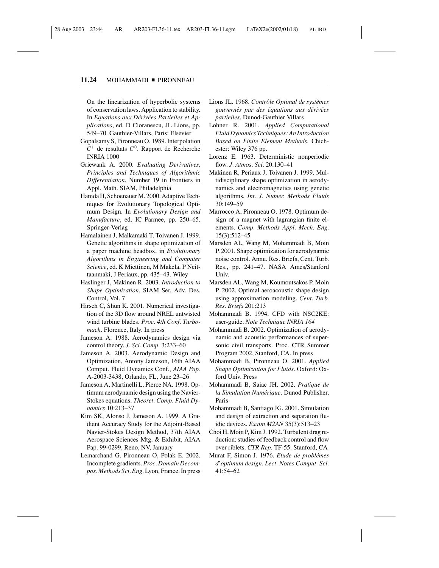### 11.24 MOHAMMADI PIRONNEAU

On the linearization of hyperbolic systems of conservation laws. Application to stability. In *Equations aux Dérivées Partielles et Applications*, ed. D Cioranescu, JL Lions, pp. 549–70. Gauthier-Villars, Paris: Elsevier

- Gopalsamy S, Pironneau O. 1989. Interpolation  $C<sup>1</sup>$  de resultats  $C<sup>0</sup>$ . Rapport de Recherche INRIA 1000
- Griewank A. 2000. *Evaluating Derivatives, Principles and Techniques of Algorithmic Differentiation*. Number 19 in Frontiers in Appl. Math. SIAM, Philadelphia
- Hamda H, Schoenauer M. 2000. Adaptive Techniques for Evolutionary Topological Optimum Design. In *Evolutionary Design and Manufacture*, ed. IC Parmee, pp. 250–65. Springer-Verlag
- Hamalainen J, Malkamaki T, Toivanen J. 1999. Genetic algorithms in shape optimization of a paper machine headbox, in *Evolutionary Algorithms in Engineering and Computer Science*, ed. K Miettinen, M Makela, P Neittaanmaki, J Periaux, pp. 435–43. Wiley
- Haslinger J, Makinen R. 2003. *Introduction to Shape Optimization*. SIAM Ser. Adv. Des. Control, Vol. 7
- Hirsch C, Shun K. 2001. Numerical investigation of the 3D flow around NREL untwisted wind turbine blades. *Proc. 4th Conf. Turbomach.* Florence, Italy. In press
- Jameson A. 1988. Aerodynamics design via control theory. *J. Sci. Comp.* 3:233–60
- Jameson A. 2003. Aerodynamic Design and Optimization, Antony Jameson, 16th AIAA Comput. Fluid Dynamics Conf., *AIAA Pap.* A-2003-3438, Orlando, FL, June 23–26
- Jameson A, Martinelli L, Pierce NA. 1998. Optimum aerodynamic design using the Navier-Stokes equations. *Theoret. Comp. Fluid Dynamics* 10:213–37
- Kim SK, Alonso J, Jameson A. 1999. A Gradient Accuracy Study for the Adjoint-Based Navier-Stokes Design Method, 37th AIAA Aerospace Sciences Mtg. & Exhibit, AIAA Pap. 99-0299, Reno, NV, January
- Lemarchand G, Pironneau O, Polak E. 2002. Incomplete gradients. *Proc. Domain Decompos. Methods Sci. Eng.* Lyon, France. In press
- Lions JL. 1968. Contrôle Optimal de systèmes *gouvernes par des ´ equations aux d ´ eriv ´ ees ´ partielles*. Dunod-Gauthier Villars
- Lohner R. 2001. *Applied Computational Fluid Dynamics Techniques: An Introduction Based on Finite Element Methods*. Chichester: Wiley 376 pp.
- Lorenz E. 1963. Deterministic nonperiodic flow. *J. Atmos. Sci.* 20:130–41
- Makinen R, Periaux J, Toivanen J. 1999. Multidisciplinary shape optimization in aerodynamics and electromagnetics using genetic algorithms. *Int. J. Numer. Methods Fluids* 30:149–59
- Marrocco A, Pironneau O. 1978. Optimum design of a magnet with lagrangian finite elements. *Comp. Methods Appl. Mech. Eng.* 15(3):512–45
- Marsden AL, Wang M, Mohammadi B, Moin P. 2001. Shape optimization for aerodynamic noise control. Annu. Res. Briefs, Cent. Turb. Res., pp. 241–47. NASA Ames/Stanford Univ.
- Marsden AL, Wang M, Koumoutsakos P, Moin P. 2002. Optimal aeroacoustic shape design using approximation modeling. *Cent. Turb. Res. Briefs* 201:213
- Mohammadi B. 1994. CFD with NSC2KE: user-guide. *Note Technique INRIA 164*
- Mohammadi B. 2002. Optimization of aerodynamic and acoustic performances of supersonic civil transports. Proc. CTR Summer Program 2002, Stanford, CA. In press
- Mohammadi B, Pironneau O. 2001. *Applied Shape Optimization for Fluids*. Oxford: Oxford Univ. Press
- Mohammadi B, Saiac JH. 2002. *Pratique de la Simulation Numerique ´* . Dunod Publisher, Paris
- Mohammadi B, Santiago JG. 2001. Simulation and design of extraction and separation fluidic devices. *Esaim M2AN* 35(3):513–23
- Choi H, Moin P, Kim J. 1992. Turbulent drag reduction: studies of feedback control and flow over riblets. *CTR Rep.* TF-55. Stanford, CA
- Murat F, Simon J. 1976. *Etude de problemes ´ d'optimum design*. *Lect. Notes Comput. Sci.* 41:54–62